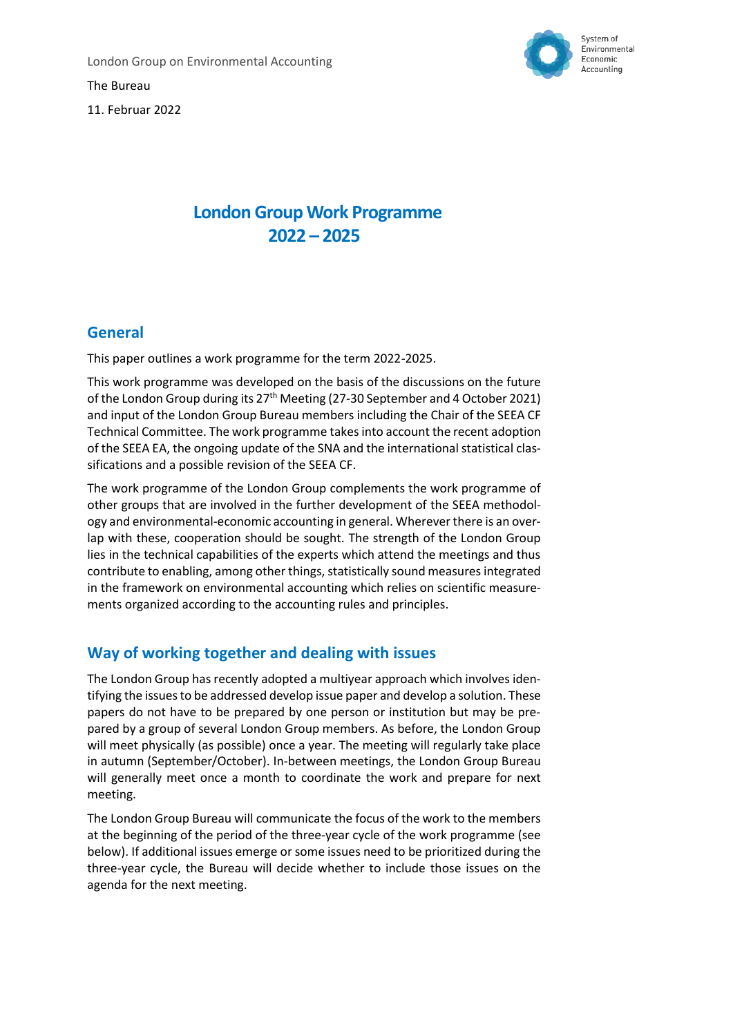The Bureau



11. Februar 2022

## **London Group Work Programme 2022 – 2025**

## **General**

This paper outlines a work programme for the term 2022-2025.

This work programme was developed on the basis of the discussions on the future of the London Group during its 27th Meeting (27-30 September and 4 October 2021) and input of the London Group Bureau members including the Chair of the SEEA CF Technical Committee. The work programme takes into account the recent adoption of the SEEA EA, the ongoing update of the SNA and the international statistical classifications and a possible revision of the SEEA CF.

The work programme of the London Group complements the work programme of other groups that are involved in the further development of the SEEA methodology and environmental-economic accounting in general. Wherever there is an overlap with these, cooperation should be sought. The strength of the London Group lies in the technical capabilities of the experts which attend the meetings and thus contribute to enabling, among other things, statistically sound measures integrated in the framework on environmental accounting which relies on scientific measurements organized according to the accounting rules and principles.

## **Way of working together and dealing with issues**

The London Group has recently adopted a multiyear approach which involves identifying the issues to be addressed develop issue paper and develop a solution. These papers do not have to be prepared by one person or institution but may be prepared by a group of several London Group members. As before, the London Group will meet physically (as possible) once a year. The meeting will regularly take place in autumn (September/October). In-between meetings, the London Group Bureau will generally meet once a month to coordinate the work and prepare for next meeting.

The London Group Bureau will communicate the focus of the work to the members at the beginning of the period of the three-year cycle of the work programme (see below). If additional issues emerge or some issues need to be prioritized during the three-year cycle, the Bureau will decide whether to include those issues on the agenda for the next meeting.